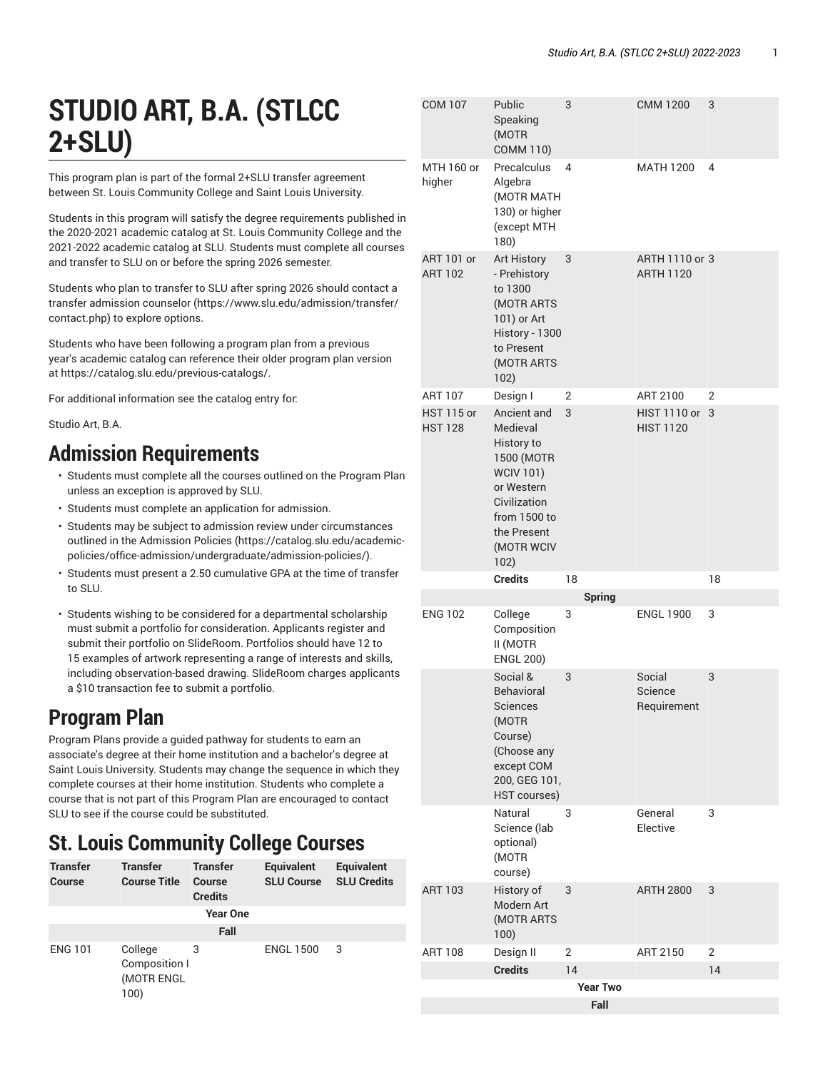# **STUDIO ART, B.A. (STLCC 2+SLU)**

This program plan is part of the formal 2+SLU transfer agreement between St. Louis Community College and Saint Louis University.

Students in this program will satisfy the degree requirements published in the 2020-2021 academic catalog at St. Louis Community College and the 2021-2022 academic catalog at SLU. Students must complete all courses and transfer to SLU on or before the spring 2026 semester.

Students who plan to transfer to SLU after spring 2026 should [contact a](https://www.slu.edu/admission/transfer/contact.php) transfer [admission](https://www.slu.edu/admission/transfer/contact.php) counselor ([https://www.slu.edu/admission/transfer/](https://www.slu.edu/admission/transfer/contact.php) [contact.php](https://www.slu.edu/admission/transfer/contact.php)) to explore options.

Students who have been following a program plan from a previous year's academic catalog can reference their older program plan version at<https://catalog.slu.edu/previous-catalogs/>.

For additional information see the catalog entry for:

Studio Art, B.A.

#### **Admission Requirements**

- Students must complete all the courses outlined on the Program Plan unless an exception is approved by SLU.
- Students must complete an application for admission.
- Students may be subject to admission review under circumstances outlined in the [Admission](https://catalog.slu.edu/academic-policies/office-admission/undergraduate/admission-policies/) Policies [\(https://catalog.slu.edu/academic](https://catalog.slu.edu/academic-policies/office-admission/undergraduate/admission-policies/)[policies/office-admission/undergraduate/admission-policies/\)](https://catalog.slu.edu/academic-policies/office-admission/undergraduate/admission-policies/).
- Students must present a 2.50 cumulative GPA at the time of transfer to SLU.
- Students wishing to be considered for a departmental scholarship must submit a portfolio for consideration. Applicants register and submit their portfolio on SlideRoom. Portfolios should have 12 to 15 examples of artwork representing a range of interests and skills, including observation-based drawing. SlideRoom charges applicants a \$10 transaction fee to submit a portfolio.

# **Program Plan**

Program Plans provide a guided pathway for students to earn an associate's degree at their home institution and a bachelor's degree at Saint Louis University. Students may change the sequence in which they complete courses at their home institution. Students who complete a course that is not part of this Program Plan are encouraged to contact SLU to see if the course could be substituted.

### **St. Louis Community College Courses**

| <b>Transfer</b><br>Course | <b>Transfer</b><br><b>Course Title</b>         | <b>Transfer</b><br>Course<br><b>Credits</b> | <b>Equivalent</b><br><b>SLU Course</b> | <b>Equivalent</b><br><b>SLU Credits</b> |  |
|---------------------------|------------------------------------------------|---------------------------------------------|----------------------------------------|-----------------------------------------|--|
|                           |                                                | <b>Year One</b>                             |                                        |                                         |  |
| Fall                      |                                                |                                             |                                        |                                         |  |
| <b>ENG 101</b>            | College<br>Composition I<br>(MOTR ENGL<br>100) | 3                                           | <b>ENGL 1500</b>                       | 3                                       |  |

| <b>COM 107</b>                      | Public<br>Speaking<br>(MOTR<br><b>COMM 110)</b>                                                                                                            | 3                       | <b>CMM 1200</b>                         | 3              |
|-------------------------------------|------------------------------------------------------------------------------------------------------------------------------------------------------------|-------------------------|-----------------------------------------|----------------|
| MTH 160 or<br>higher                | Precalculus<br>Algebra<br>(MOTR MATH<br>130) or higher<br>(except MTH<br>180)                                                                              | 4                       | <b>MATH 1200</b>                        | 4              |
| ART 101 or<br><b>ART 102</b>        | <b>Art History</b><br>- Prehistory<br>to 1300<br>(MOTR ARTS<br>101) or Art<br>History - 1300<br>to Present<br>(MOTR ARTS<br>102)                           | 3                       | ARTH 1110 or 3<br><b>ARTH 1120</b>      |                |
| <b>ART 107</b>                      | Design I                                                                                                                                                   | 2                       | ART 2100                                | $\overline{2}$ |
| <b>HST 115 or</b><br><b>HST 128</b> | Ancient and<br>Medieval<br>History to<br>1500 (MOTR<br><b>WCIV 101)</b><br>or Western<br>Civilization<br>from 1500 to<br>the Present<br>(MOTR WCIV<br>102) | 3                       | <b>HIST 1110 or</b><br><b>HIST 1120</b> | 3              |
|                                     |                                                                                                                                                            |                         |                                         |                |
|                                     | <b>Credits</b>                                                                                                                                             | 18                      |                                         | 18             |
|                                     |                                                                                                                                                            | <b>Spring</b>           |                                         |                |
| <b>ENG 102</b>                      | College<br>Composition<br>II (MOTR<br><b>ENGL 200)</b>                                                                                                     | 3                       | <b>ENGL 1900</b>                        | 3              |
|                                     | Social &<br><b>Behavioral</b><br>Sciences<br>(MOTR<br>Course)<br>(Choose any<br>except COM<br>200, GEG 101,<br>HST courses)                                | 3                       | Social<br>Science<br>Requirement        | 3              |
|                                     | Natural<br>Science (lab<br>optional)<br>(MOTR<br>course)                                                                                                   | 3                       | General<br>Elective                     | 3              |
| <b>ART 103</b>                      | History of<br>Modern Art<br>(MOTR ARTS<br>100)                                                                                                             | 3                       | <b>ARTH 2800</b>                        | 3              |
| <b>ART 108</b>                      | Design II                                                                                                                                                  | 2                       | ART 2150                                | 2              |
|                                     | <b>Credits</b>                                                                                                                                             | 14                      |                                         | 14             |
|                                     |                                                                                                                                                            | <b>Year Two</b><br>Fall |                                         |                |